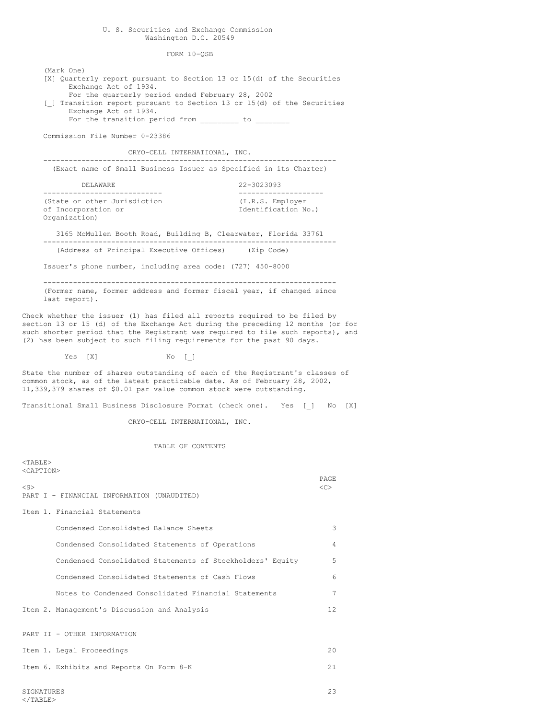### U. S. Securities and Exchange Commission Washington D.C. 20549

FORM 10-QSB

(Mark One) [X] Quarterly report pursuant to Section 13 or 15(d) of the Securities Exchange Act of 1934. For the quarterly period ended February 28, 2002 [ ] Transition report pursuant to Section 13 or 15(d) of the Securities Exchange Act of 1934. For the transition period from  $\frac{\ }{\ }$  to  $\frac{\ }{\ }$ Commission File Number 0-23386 CRYO-CELL INTERNATIONAL, INC. --------------------------------------------------------------------- (Exact name of Small Business Issuer as Specified in its Charter) DELAWARE 22-3023093 ---------------------------- -------------------- (State or other Jurisdiction (I.R.S. Employer of Incorporation or  $I$ dentification No.) Organization) 3165 McMullen Booth Road, Building B, Clearwater, Florida 33761 --------------------------------------------------------------------- (Address of Principal Executive Offices) (Zip Code) Issuer's phone number, including area code: (727) 450-8000 --------------------------------------------------------------------- (Former name, former address and former fiscal year, if changed since last report). Check whether the issuer (1) has filed all reports required to be filed by section 13 or 15 (d) of the Exchange Act during the preceding 12 months (or for such shorter period that the Registrant was required to file such reports), and (2) has been subject to such filing requirements for the past 90 days. Yes [X] No [ ] State the number of shares outstanding of each of the Registrant's classes of common stock, as of the latest practicable date. As of February 28, 2002, 11,339,379 shares of \$0.01 par value common stock were outstanding. Transitional Small Business Disclosure Format (check one). Yes [\_] No [X] CRYO-CELL INTERNATIONAL, INC. TABLE OF CONTENTS  $<$ TABLE> <CAPTION> PAGE  $\langle$ S>  $\langle$ C> PART I - FINANCIAL INFORMATION (UNAUDITED) Item 1. Financial Statements Condensed Consolidated Balance Sheets 3 Condensed Consolidated Statements of Operations 4 Condensed Consolidated Statements of Stockholders' Equity 5 Condensed Consolidated Statements of Cash Flows 6 Notes to Condensed Consolidated Financial Statements 7 Item 2. Management's Discussion and Analysis 12

PART II - OTHER INFORMATION

Item 1. Legal Proceedings 20 Item 6. Exhibits and Reports On Form 8-K 21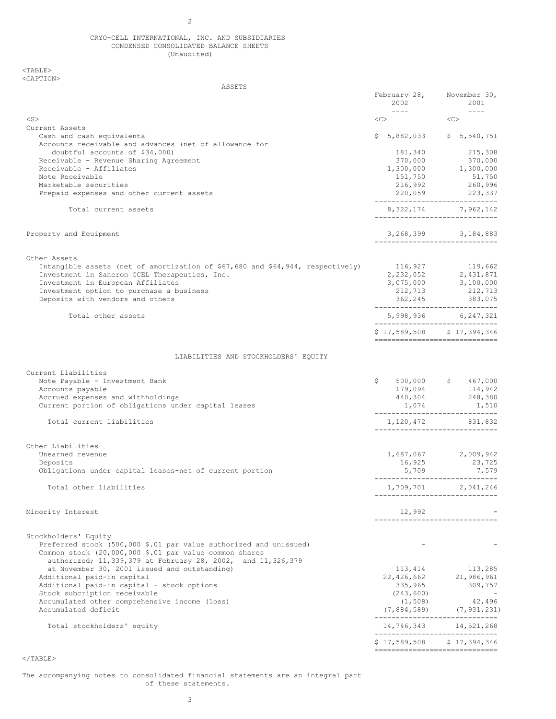## CRYO-CELL INTERNATIONAL, INC. AND SUBSIDIARIES CONDENSED CONSOLIDATED BALANCE SHEETS (Unaudited)

 $<sub>TABLE</sub>$ </sub> <CAPTION>

| ASSETS                                                                                                                                                                                     |                                                                                                                                                                                                                                                                                                                                                                                                                      |                                                                    |
|--------------------------------------------------------------------------------------------------------------------------------------------------------------------------------------------|----------------------------------------------------------------------------------------------------------------------------------------------------------------------------------------------------------------------------------------------------------------------------------------------------------------------------------------------------------------------------------------------------------------------|--------------------------------------------------------------------|
|                                                                                                                                                                                            | February 28,<br>2002<br>$\frac{1}{2} \frac{1}{2} \frac{1}{2} \frac{1}{2} \frac{1}{2} \frac{1}{2} \frac{1}{2} \frac{1}{2} \frac{1}{2} \frac{1}{2} \frac{1}{2} \frac{1}{2} \frac{1}{2} \frac{1}{2} \frac{1}{2} \frac{1}{2} \frac{1}{2} \frac{1}{2} \frac{1}{2} \frac{1}{2} \frac{1}{2} \frac{1}{2} \frac{1}{2} \frac{1}{2} \frac{1}{2} \frac{1}{2} \frac{1}{2} \frac{1}{2} \frac{1}{2} \frac{1}{2} \frac{1}{2} \frac{$ | November 30,<br>2001<br>$\qquad \qquad - - - -$                    |
| $<$ S $>$                                                                                                                                                                                  | $\langle C \rangle$                                                                                                                                                                                                                                                                                                                                                                                                  | $<<$ $>>$                                                          |
| Current Assets                                                                                                                                                                             |                                                                                                                                                                                                                                                                                                                                                                                                                      |                                                                    |
| Cash and cash equivalents<br>Accounts receivable and advances (net of allowance for                                                                                                        |                                                                                                                                                                                                                                                                                                                                                                                                                      | $$5,882,033$ $$5,540,751$                                          |
| doubtful accounts of \$34,000)                                                                                                                                                             | 181,340<br>370,000                                                                                                                                                                                                                                                                                                                                                                                                   | 215,308<br>370,000                                                 |
| Receivable - Revenue Sharing Agreement<br>Receivable - Affiliates                                                                                                                          |                                                                                                                                                                                                                                                                                                                                                                                                                      |                                                                    |
| Note Receivable                                                                                                                                                                            | 151,750                                                                                                                                                                                                                                                                                                                                                                                                              | $1,300,000$ $1,300,000$<br>51,750                                  |
| Marketable securities                                                                                                                                                                      | 216,992                                                                                                                                                                                                                                                                                                                                                                                                              | 260,996                                                            |
| Prepaid expenses and other current assets                                                                                                                                                  |                                                                                                                                                                                                                                                                                                                                                                                                                      | 220,059 223,337<br>------------------------------                  |
| Total current assets                                                                                                                                                                       |                                                                                                                                                                                                                                                                                                                                                                                                                      | 8, 322, 174 7, 962, 142<br>------------------------------          |
| Property and Equipment                                                                                                                                                                     |                                                                                                                                                                                                                                                                                                                                                                                                                      | $3, 268, 399$ $3, 184, 883$<br>-----------------------------       |
| Other Assets                                                                                                                                                                               |                                                                                                                                                                                                                                                                                                                                                                                                                      |                                                                    |
| Intangible assets (net of amortization of \$67,680 and \$64,944, respectively)                                                                                                             |                                                                                                                                                                                                                                                                                                                                                                                                                      | 116,927 119,662                                                    |
| Investment in Saneron CCEL Therapeutics, Inc.                                                                                                                                              |                                                                                                                                                                                                                                                                                                                                                                                                                      | 2, 232, 052 2, 431, 871                                            |
| Investment in European Affiliates<br>Investment option to purchase a business                                                                                                              |                                                                                                                                                                                                                                                                                                                                                                                                                      | 3,075,000 3,100,000<br>212,713 212,713                             |
| Deposits with vendors and others                                                                                                                                                           |                                                                                                                                                                                                                                                                                                                                                                                                                      |                                                                    |
| Total other assets                                                                                                                                                                         |                                                                                                                                                                                                                                                                                                                                                                                                                      | 5,998,936 6,247,321                                                |
|                                                                                                                                                                                            |                                                                                                                                                                                                                                                                                                                                                                                                                      | -----------------------------<br>\$17,589,508 \$17,394,346         |
|                                                                                                                                                                                            |                                                                                                                                                                                                                                                                                                                                                                                                                      | -------------------------------                                    |
| LIABILITIES AND STOCKHOLDERS' EQUITY                                                                                                                                                       |                                                                                                                                                                                                                                                                                                                                                                                                                      |                                                                    |
| Current Liabilities                                                                                                                                                                        |                                                                                                                                                                                                                                                                                                                                                                                                                      |                                                                    |
| Note Payable - Investment Bank                                                                                                                                                             | \$                                                                                                                                                                                                                                                                                                                                                                                                                   | 500,000 \$ 467,000                                                 |
| Accounts payable                                                                                                                                                                           |                                                                                                                                                                                                                                                                                                                                                                                                                      | $179,094$ $114,942$                                                |
| Accrued expenses and withholdings<br>Current portion of obligations under capital leases                                                                                                   | 440,304                                                                                                                                                                                                                                                                                                                                                                                                              | 248,380<br>$1,074$ $1,510$                                         |
|                                                                                                                                                                                            | -----------------------------                                                                                                                                                                                                                                                                                                                                                                                        |                                                                    |
| Total current liabilities                                                                                                                                                                  |                                                                                                                                                                                                                                                                                                                                                                                                                      | 1,120,472 831,832<br>------------------------------                |
| Other Liabilities                                                                                                                                                                          |                                                                                                                                                                                                                                                                                                                                                                                                                      |                                                                    |
| Unearned revenue                                                                                                                                                                           |                                                                                                                                                                                                                                                                                                                                                                                                                      | $1,687,067$ 2,009,942                                              |
| Deposits                                                                                                                                                                                   |                                                                                                                                                                                                                                                                                                                                                                                                                      | 23,725                                                             |
| Obligations under capital leases-net of current portion                                                                                                                                    |                                                                                                                                                                                                                                                                                                                                                                                                                      | 16,925 23,725<br>5,709 7,579<br>------------------------------     |
| Total other liabilities                                                                                                                                                                    |                                                                                                                                                                                                                                                                                                                                                                                                                      | 1,709,701 2,041,246<br>-----------------------------               |
| Minority Interest                                                                                                                                                                          | 12,992                                                                                                                                                                                                                                                                                                                                                                                                               |                                                                    |
| Stockholders' Equity                                                                                                                                                                       |                                                                                                                                                                                                                                                                                                                                                                                                                      |                                                                    |
| Preferred stock (500,000 \$.01 par value authorized and unissued)<br>Common stock (20,000,000 \$.01 par value common shares<br>authorized; 11,339,379 at February 28, 2002, and 11,326,379 |                                                                                                                                                                                                                                                                                                                                                                                                                      |                                                                    |
| at November 30, 2001 issued and outstanding)                                                                                                                                               | 113,414                                                                                                                                                                                                                                                                                                                                                                                                              | 113,285                                                            |
| Additional paid-in capital                                                                                                                                                                 | 22,426,662                                                                                                                                                                                                                                                                                                                                                                                                           | 21,986,961                                                         |
| Additional paid-in capital - stock options                                                                                                                                                 | 335,965                                                                                                                                                                                                                                                                                                                                                                                                              | 309,757                                                            |
| Stock subcription receivable                                                                                                                                                               | (243, 600)                                                                                                                                                                                                                                                                                                                                                                                                           |                                                                    |
| Accumulated other comprehensive income (loss)<br>Accumulated deficit                                                                                                                       | (1, 508)                                                                                                                                                                                                                                                                                                                                                                                                             | 42,496                                                             |
|                                                                                                                                                                                            |                                                                                                                                                                                                                                                                                                                                                                                                                      | $(7, 884, 589)$ $(7, 931, 231)$<br>_______________________________ |
| Total stockholders' equity                                                                                                                                                                 |                                                                                                                                                                                                                                                                                                                                                                                                                      | 14,746,343 14,521,268<br>------------------------------            |
|                                                                                                                                                                                            |                                                                                                                                                                                                                                                                                                                                                                                                                      | $$17,589,508$ $$17,394,346$<br>-------------------------------     |

 $<$ /TABLE $>$ 

The accompanying notes to consolidated financial statements are an integral part of these statements.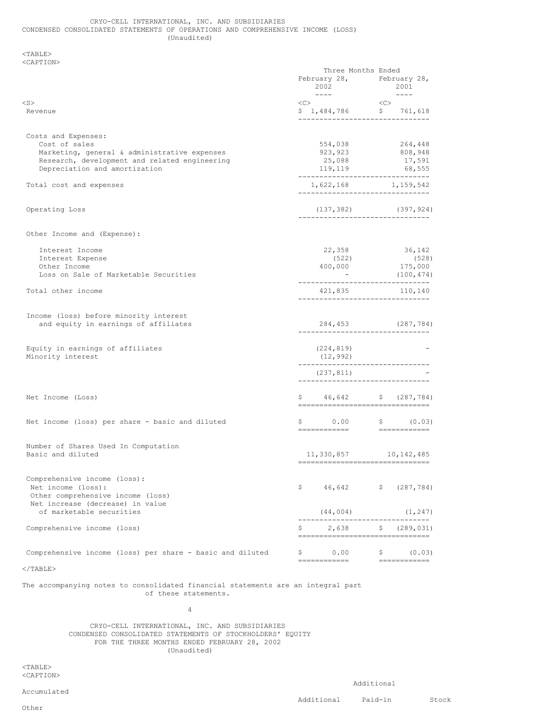## CRYO-CELL INTERNATIONAL, INC. AND SUBSIDIARIES CONDENSED CONSOLIDATED STATEMENTS OF OPERATIONS AND COMPREHENSIVE INCOME (LOSS) (Unaudited)

## <TABLE> <CAPTION>

|                                                                                         | Three Months Ended                                                                                                                                                                                                                                                                                                                                                                                                                                                                 |                                                                                   |
|-----------------------------------------------------------------------------------------|------------------------------------------------------------------------------------------------------------------------------------------------------------------------------------------------------------------------------------------------------------------------------------------------------------------------------------------------------------------------------------------------------------------------------------------------------------------------------------|-----------------------------------------------------------------------------------|
|                                                                                         | 2002<br>$\frac{1}{2} \left( \frac{1}{2} \right) \left( \frac{1}{2} \right) \left( \frac{1}{2} \right) \left( \frac{1}{2} \right) \left( \frac{1}{2} \right) \left( \frac{1}{2} \right) \left( \frac{1}{2} \right) \left( \frac{1}{2} \right) \left( \frac{1}{2} \right) \left( \frac{1}{2} \right) \left( \frac{1}{2} \right) \left( \frac{1}{2} \right) \left( \frac{1}{2} \right) \left( \frac{1}{2} \right) \left( \frac{1}{2} \right) \left( \frac{1}{2} \right) \left( \frac$ | February 28, February 28,<br>2001                                                 |
| <s></s>                                                                                 | $\langle C \rangle$                                                                                                                                                                                                                                                                                                                                                                                                                                                                |                                                                                   |
| Revenue                                                                                 |                                                                                                                                                                                                                                                                                                                                                                                                                                                                                    | $\langle C \rangle$<br>$$1,484,786$ $$761,618$<br>------------------------------- |
| Costs and Expenses:                                                                     |                                                                                                                                                                                                                                                                                                                                                                                                                                                                                    |                                                                                   |
| Cost of sales                                                                           |                                                                                                                                                                                                                                                                                                                                                                                                                                                                                    | 554,038 264,448<br>923,923 808,948                                                |
| Marketing, general & administrative expenses                                            |                                                                                                                                                                                                                                                                                                                                                                                                                                                                                    |                                                                                   |
| Research, development and related engineering<br>Depreciation and amortization          | 25,088<br>119, 119                                                                                                                                                                                                                                                                                                                                                                                                                                                                 | 17,591<br>68,555<br>--------------------------------                              |
| Total cost and expenses                                                                 |                                                                                                                                                                                                                                                                                                                                                                                                                                                                                    | 1,622,168 1,159,542<br>--------------------------------                           |
| Operating Loss                                                                          |                                                                                                                                                                                                                                                                                                                                                                                                                                                                                    | $(137, 382)$ $(397, 924)$<br>-------------------------------                      |
| Other Income and (Expense):                                                             |                                                                                                                                                                                                                                                                                                                                                                                                                                                                                    |                                                                                   |
| Interest Income                                                                         |                                                                                                                                                                                                                                                                                                                                                                                                                                                                                    | 22,358 36,142                                                                     |
| Interest Expense<br>Other Income                                                        |                                                                                                                                                                                                                                                                                                                                                                                                                                                                                    | $(522)$ $(528)$<br>400,000 $175,000$                                              |
| Loss on Sale of Marketable Securities                                                   |                                                                                                                                                                                                                                                                                                                                                                                                                                                                                    | (100, 474)<br>-------------------------------                                     |
| Total other income                                                                      | 421,835<br>-------------------------                                                                                                                                                                                                                                                                                                                                                                                                                                               | 110,140                                                                           |
|                                                                                         |                                                                                                                                                                                                                                                                                                                                                                                                                                                                                    |                                                                                   |
| Income (loss) before minority interest<br>and equity in earnings of affiliates          |                                                                                                                                                                                                                                                                                                                                                                                                                                                                                    | 284,453 (287,784)<br>-------------------------------                              |
| Equity in earnings of affiliates                                                        | (224, 819)                                                                                                                                                                                                                                                                                                                                                                                                                                                                         |                                                                                   |
| Minority interest                                                                       | (12, 992)                                                                                                                                                                                                                                                                                                                                                                                                                                                                          | --------------------------------                                                  |
|                                                                                         | (237,811)<br>________________________                                                                                                                                                                                                                                                                                                                                                                                                                                              |                                                                                   |
| Net Income (Loss)                                                                       |                                                                                                                                                                                                                                                                                                                                                                                                                                                                                    | $$ 46,642$ \$ (287,784)<br>---------------------------------                      |
| Net income (loss) per share - basic and diluted                                         |                                                                                                                                                                                                                                                                                                                                                                                                                                                                                    | $$0.00$ $$0.03)$                                                                  |
|                                                                                         |                                                                                                                                                                                                                                                                                                                                                                                                                                                                                    |                                                                                   |
| Number of Shares Used In Computation<br>Basic and diluted                               |                                                                                                                                                                                                                                                                                                                                                                                                                                                                                    | 11,330,857 10,142,485<br>==================================                       |
|                                                                                         |                                                                                                                                                                                                                                                                                                                                                                                                                                                                                    |                                                                                   |
| Comprehensive income (loss):<br>Net income (loss):<br>Other comprehensive income (loss) | \$<br>46,642                                                                                                                                                                                                                                                                                                                                                                                                                                                                       | (287, 784)<br>$\mathsf{S}$                                                        |
| Net increase (decrease) in value<br>of marketable securities                            | (44, 004)                                                                                                                                                                                                                                                                                                                                                                                                                                                                          | (1, 247)                                                                          |
| Comprehensive income (loss)                                                             | \$<br>2,638                                                                                                                                                                                                                                                                                                                                                                                                                                                                        | \$<br>(289, 031)<br>=================================                             |
| Comprehensive income (loss) per share - basic and diluted                               | \$<br>0.00                                                                                                                                                                                                                                                                                                                                                                                                                                                                         | \$<br>(0.03)                                                                      |
|                                                                                         |                                                                                                                                                                                                                                                                                                                                                                                                                                                                                    |                                                                                   |

 $<$ /TABLE>

The accompanying notes to consolidated financial statements are an integral part of these statements.

4

CRYO-CELL INTERNATIONAL, INC. AND SUBSIDIARIES CONDENSED CONSOLIDATED STATEMENTS OF STOCKHOLDERS' EQUITY FOR THE THREE MONTHS ENDED FEBRUARY 28, 2002 (Unaudited)

<TABLE> <CAPTION>

Accumulated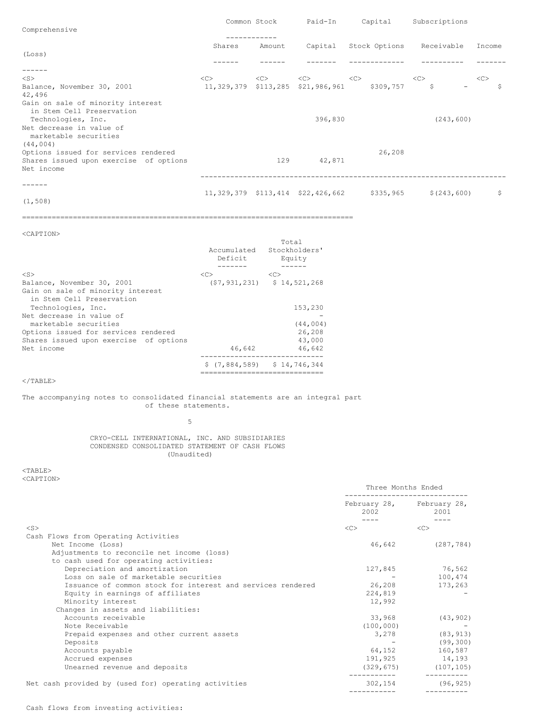|                                                                                              |        | Common Stock           | Paid-In                           | Capital       | Subscriptions      |        |
|----------------------------------------------------------------------------------------------|--------|------------------------|-----------------------------------|---------------|--------------------|--------|
| Comprehensive                                                                                |        |                        |                                   |               |                    |        |
|                                                                                              | Shares | ------------<br>Amount | Capital                           | Stock Options | Receivable         | Income |
| (Loss)                                                                                       |        |                        |                                   |               |                    |        |
|                                                                                              |        |                        |                                   |               |                    |        |
| $<$ S $>$                                                                                    | <<>    | <<>                    | <<                                | <<            | <<                 | <<     |
| Balance, November 30, 2001<br>42,496                                                         |        |                        | 11,329,379 \$113,285 \$21,986,961 | \$309,757     | $\ddot{\varsigma}$ | \$     |
| Gain on sale of minority interest<br>in Stem Cell Preservation                               |        |                        |                                   |               |                    |        |
| Technologies, Inc.<br>Net decrease in value of<br>marketable securities                      |        |                        | 396,830                           |               | (243, 600)         |        |
| (44, 004)                                                                                    |        |                        |                                   | 26,208        |                    |        |
| Options issued for services rendered<br>Shares issued upon exercise of options<br>Net income |        | 129                    | 42,871                            |               |                    |        |
|                                                                                              |        |                        |                                   |               |                    |        |
|                                                                                              |        |                        | 11,329,379 \$113,414 \$22,426,662 | \$335,965     | \$(243, 600)       | \$     |
| (1, 508)                                                                                     |        |                        |                                   |               |                    |        |

=============================

==============================================================================

# <CAPTION>

|                                                                | Accumulated<br>Deficit | Total<br>Stockholders'<br>Equity    |
|----------------------------------------------------------------|------------------------|-------------------------------------|
| $<$ S $>$                                                      | < <sub></sub>          | <<                                  |
| Balance, November 30, 2001                                     |                        | $(57, 931, 231)$ $5 \t14, 521, 268$ |
| Gain on sale of minority interest<br>in Stem Cell Preservation |                        |                                     |
| Technologies, Inc.                                             |                        | 153,230                             |
| Net decrease in value of<br>marketable securities              |                        | (44, 004)                           |
| Options issued for services rendered                           |                        | 26,208                              |
| Shares issued upon exercise of options                         |                        | 43,000                              |
| Net income                                                     | 46,642                 | 46,642                              |
|                                                                |                        | $$(7,884,589)$ $$14,746,344$        |

 $<$ /TABLE $>$ 

## The accompanying notes to consolidated financial statements are an integral part of these statements.

### 5

### CRYO-CELL INTERNATIONAL, INC. AND SUBSIDIARIES CONDENSED CONSOLIDATED STATEMENT OF CASH FLOWS (Unaudited)

# <TABLE> <CAPTION>

|                                                             | Three Months Ended                |                           |  |
|-------------------------------------------------------------|-----------------------------------|---------------------------|--|
|                                                             | February 28, February 28,<br>2002 | 2001                      |  |
| $<$ S $>$                                                   | <<                                | <<                        |  |
| Cash Flows from Operating Activities                        |                                   |                           |  |
| Net Income (Loss)                                           | 46,642                            | (287, 784)                |  |
| Adjustments to reconcile net income (loss)                  |                                   |                           |  |
| to cash used for operating activities:                      |                                   |                           |  |
| Depreciation and amortization                               |                                   | 127,845 76,562            |  |
| Loss on sale of marketable securities                       |                                   | 100,474                   |  |
| Issuance of common stock for interest and services rendered | 26,208                            | 173,263                   |  |
| Equity in earnings of affiliates                            | 224,819                           |                           |  |
| Minority interest                                           | 12,992                            |                           |  |
| Changes in assets and liabilities:                          |                                   |                           |  |
| Accounts receivable                                         | 33,968                            | (43, 902)                 |  |
| Note Receivable                                             | (100, 000)                        |                           |  |
| Prepaid expenses and other current assets                   |                                   | 3,278 (83,913)            |  |
| Deposits                                                    |                                   | (99, 300)                 |  |
| Accounts payable                                            |                                   | 64,152 160,587            |  |
| Accrued expenses                                            |                                   | 191,925 14,193            |  |
| Unearned revenue and deposits                               |                                   | $(329, 675)$ $(107, 105)$ |  |
| Net cash provided by (used for) operating activities        | 302,154                           | (96, 925)                 |  |
|                                                             |                                   |                           |  |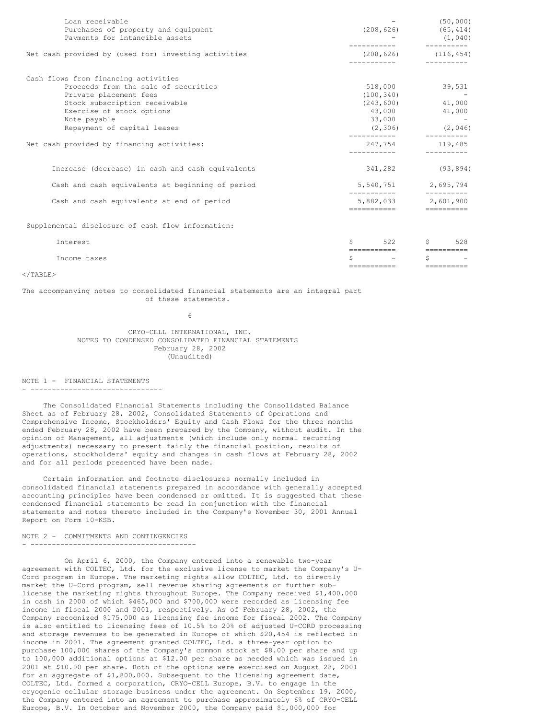| Loan receivable<br>Purchases of property and equipment<br>Payments for intangible assets | (208, 626)                 | (50, 000)<br>(65, 414)<br>(1, 040)<br>---------- |  |
|------------------------------------------------------------------------------------------|----------------------------|--------------------------------------------------|--|
| Net cash provided by (used for) investing activities                                     |                            | $(208, 626)$ $(116, 454)$<br>----------          |  |
| Cash flows from financing activities                                                     |                            |                                                  |  |
| Proceeds from the sale of securities                                                     | 518,000                    | 39,531                                           |  |
| Private placement fees                                                                   | (100, 340)                 | <b>Contractor</b>                                |  |
| Stock subscription receivable                                                            |                            | $(243, 600)$ 41,000                              |  |
| Exercise of stock options                                                                |                            | 43,000 41,000                                    |  |
| Note payable                                                                             | 33,000                     | <b>Service</b>                                   |  |
| Repayment of capital leases                                                              | (2, 306)                   | (2, 046)                                         |  |
| Net cash provided by financing activities:                                               | 247,754                    | 119,485                                          |  |
| Increase (decrease) in cash and cash equivalents                                         |                            | 341,282 (93,894)                                 |  |
| Cash and cash equivalents at beginning of period                                         |                            | 5,540,751 2,695,794                              |  |
| Cash and cash equivalents at end of period                                               | ===========                | 5,882,033 2,601,900<br>$=$ ==========            |  |
| Supplemental disclosure of cash flow information:                                        |                            |                                                  |  |
| Interest                                                                                 | Ŝ.                         | $522$ \$<br>528                                  |  |
|                                                                                          | ========================== |                                                  |  |
| Income taxes                                                                             | Ŝ                          | S.                                               |  |
|                                                                                          | ===========                | ==========                                       |  |

#### $\langle$ /TABLE>

### The accompanying notes to consolidated financial statements are an integral part of these statements.

6

CRYO-CELL INTERNATIONAL, INC. NOTES TO CONDENSED CONSOLIDATED FINANCIAL STATEMENTS February 28, 2002 (Unaudited)

NOTE 1 - FINANCIAL STATEMENTS - -------------------------------

The Consolidated Financial Statements including the Consolidated Balance Sheet as of February 28, 2002, Consolidated Statements of Operations and Comprehensive Income, Stockholders' Equity and Cash Flows for the three months ended February 28, 2002 have been prepared by the Company, without audit. In the opinion of Management, all adjustments (which include only normal recurring adjustments) necessary to present fairly the financial position, results of operations, stockholders' equity and changes in cash flows at February 28, 2002 and for all periods presented have been made.

Certain information and footnote disclosures normally included in consolidated financial statements prepared in accordance with generally accepted accounting principles have been condensed or omitted. It is suggested that these condensed financial statements be read in conjunction with the financial statements and notes thereto included in the Company's November 30, 2001 Annual Report on Form 10-KSB.

## NOTE 2 - COMMITMENTS AND CONTINGENCIES - ---------------------------------------

On April 6, 2000, the Company entered into a renewable two-year agreement with COLTEC, Ltd. for the exclusive license to market the Company's U-Cord program in Europe. The marketing rights allow COLTEC, Ltd. to directly market the U-Cord program, sell revenue sharing agreements or further sublicense the marketing rights throughout Europe. The Company received \$1,400,000 in cash in 2000 of which \$465,000 and \$700,000 were recorded as licensing fee income in fiscal 2000 and 2001, respectively. As of February 28, 2002, the Company recognized \$175,000 as licensing fee income for fiscal 2002. The Company is also entitled to licensing fees of 10.5% to 20% of adjusted U-CORD processing and storage revenues to be generated in Europe of which \$20,454 is reflected in income in 2001. The agreement granted COLTEC, Ltd. a three-year option to purchase 100,000 shares of the Company's common stock at \$8.00 per share and up to 100,000 additional options at \$12.00 per share as needed which was issued in 2001 at \$10.00 per share. Both of the options were exercised on August 28, 2001 for an aggregate of \$1,800,000. Subsequent to the licensing agreement date, COLTEC, Ltd. formed a corporation, CRYO-CELL Europe, B.V. to engage in the cryogenic cellular storage business under the agreement. On September 19, 2000, the Company entered into an agreement to purchase approximately 6% of CRYO-CELL Europe, B.V. In October and November 2000, the Company paid \$1,000,000 for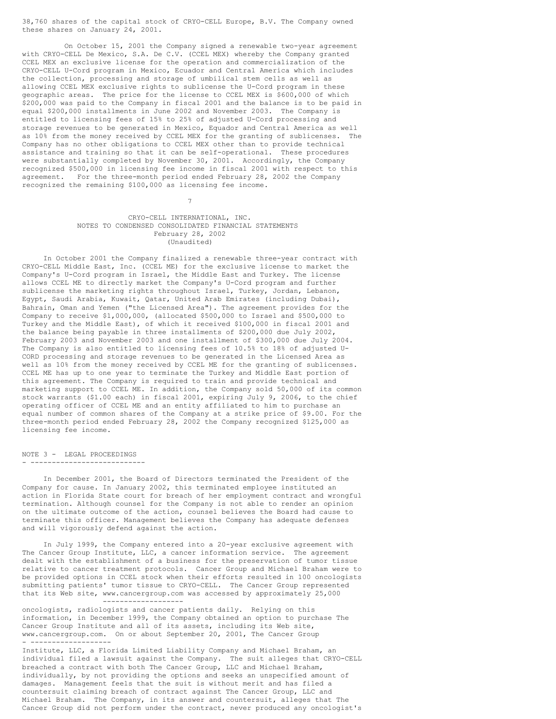38,760 shares of the capital stock of CRYO-CELL Europe, B.V. The Company owned these shares on January 24, 2001.

On October 15, 2001 the Company signed a renewable two-year agreement with CRYO-CELL De Mexico, S.A. De C.V. (CCEL MEX) whereby the Company granted CCEL MEX an exclusive license for the operation and commercialization of the CRYO-CELL U-Cord program in Mexico, Ecuador and Central America which includes the collection, processing and storage of umbilical stem cells as well as allowing CCEL MEX exclusive rights to sublicense the U-Cord program in these geographic areas. The price for the license to CCEL MEX is \$600,000 of which \$200,000 was paid to the Company in fiscal 2001 and the balance is to be paid in equal \$200,000 installments in June 2002 and November 2003. The Company is entitled to licensing fees of 15% to 25% of adjusted U-Cord processing and storage revenues to be generated in Mexico, Equador and Central America as well as 10% from the money received by CCEL MEX for the granting of sublicenses. The Company has no other obligations to CCEL MEX other than to provide technical assistance and training so that it can be self-operational. These procedures were substantially completed by November 30, 2001. Accordingly, the Company recognized \$500,000 in licensing fee income in fiscal 2001 with respect to this agreement. For the three-month period ended February 28, 2002 the Company recognized the remaining \$100,000 as licensing fee income.

## CRYO-CELL INTERNATIONAL, INC. NOTES TO CONDENSED CONSOLIDATED FINANCIAL STATEMENTS February 28, 2002 (Unaudited)

7

In October 2001 the Company finalized a renewable three-year contract with CRYO-CELL Middle East, Inc. (CCEL ME) for the exclusive license to market the Company's U-Cord program in Israel, the Middle East and Turkey. The license allows CCEL ME to directly market the Company's U-Cord program and further sublicense the marketing rights throughout Israel, Turkey, Jordan, Lebanon, Egypt, Saudi Arabia, Kuwait, Qatar, United Arab Emirates (including Dubai), Bahrain, Oman and Yemen ("the Licensed Area"). The agreement provides for the Company to receive \$1,000,000, (allocated \$500,000 to Israel and \$500,000 to Turkey and the Middle East), of which it received \$100,000 in fiscal 2001 and the balance being payable in three installments of \$200,000 due July 2002, February 2003 and November 2003 and one installment of \$300,000 due July 2004. The Company is also entitled to licensing fees of 10.5% to 18% of adjusted U-CORD processing and storage revenues to be generated in the Licensed Area as well as 10% from the money received by CCEL ME for the granting of sublicenses. CCEL ME has up to one year to terminate the Turkey and Middle East portion of this agreement. The Company is required to train and provide technical and marketing support to CCEL ME. In addition, the Company sold 50,000 of its common stock warrants (\$1.00 each) in fiscal 2001, expiring July 9, 2006, to the chief operating officer of CCEL ME and an entity affiliated to him to purchase an equal number of common shares of the Company at a strike price of \$9.00. For the three-month period ended February 28, 2002 the Company recognized \$125,000 as licensing fee income.

NOTE 3 - LEGAL PROCEEDINGS - ---------------------------

In December 2001, the Board of Directors terminated the President of the Company for cause. In January 2002, this terminated employee instituted an action in Florida State court for breach of her employment contract and wrongful termination. Although counsel for the Company is not able to render an opinion on the ultimate outcome of the action, counsel believes the Board had cause to terminate this officer. Management believes the Company has adequate defenses and will vigorously defend against the action.

In July 1999, the Company entered into a 20-year exclusive agreement with The Cancer Group Institute, LLC, a cancer information service. The agreement dealt with the establishment of a business for the preservation of tumor tissue relative to cancer treatment protocols. Cancer Group and Michael Braham were to be provided options in CCEL stock when their efforts resulted in 100 oncologists submitting patients' tumor tissue to CRYO-CELL. The Cancer Group represented that its Web site, www.cancergroup.com was accessed by approximately 25,000 -------------------

oncologists, radiologists and cancer patients daily. Relying on this information, in December 1999, the Company obtained an option to purchase The Cancer Group Institute and all of its assets, including its Web site, www.cancergroup.com. On or about September 20, 2001, The Cancer Group - -------------------

Institute, LLC, a Florida Limited Liability Company and Michael Braham, an individual filed a lawsuit against the Company. The suit alleges that CRYO-CELL breached a contract with both The Cancer Group, LLC and Michael Braham, individually, by not providing the options and seeks an unspecified amount of damages. Management feels that the suit is without merit and has filed a countersuit claiming breach of contract against The Cancer Group, LLC and Michael Braham. The Company, in its answer and countersuit, alleges that The Cancer Group did not perform under the contract, never produced any oncologist's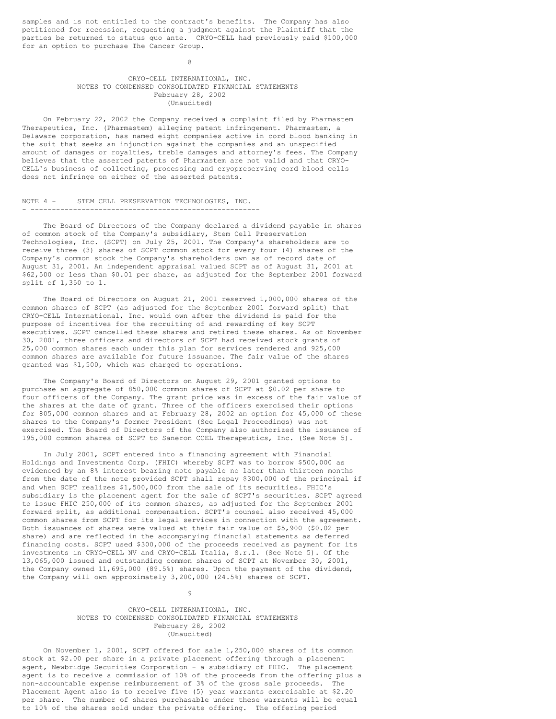samples and is not entitled to the contract's benefits. The Company has also petitioned for recession, requesting a judgment against the Plaintiff that the parties be returned to status quo ante. CRYO-CELL had previously paid \$100,000 for an option to purchase The Cancer Group.

#### 8

## CRYO-CELL INTERNATIONAL, INC. NOTES TO CONDENSED CONSOLIDATED FINANCIAL STATEMENTS February 28, 2002 (Unaudited)

On February 22, 2002 the Company received a complaint filed by Pharmastem Therapeutics, Inc. (Pharmastem) alleging patent infringement. Pharmastem, a Delaware corporation, has named eight companies active in cord blood banking in the suit that seeks an injunction against the companies and an unspecified amount of damages or royalties, treble damages and attorney's fees. The Company believes that the asserted patents of Pharmastem are not valid and that CRYO-CELL's business of collecting, processing and cryopreserving cord blood cells does not infringe on either of the asserted patents.

#### NOTE 4 - STEM CELL PRESERVATION TECHNOLOGIES, INC. - ------------------------------------------------------

The Board of Directors of the Company declared a dividend payable in shares of common stock of the Company's subsidiary, Stem Cell Preservation Technologies, Inc. (SCPT) on July 25, 2001. The Company's shareholders are to receive three (3) shares of SCPT common stock for every four (4) shares of the Company's common stock the Company's shareholders own as of record date of August 31, 2001. An independent appraisal valued SCPT as of August 31, 2001 at \$62,500 or less than \$0.01 per share, as adjusted for the September 2001 forward split of 1,350 to 1.

The Board of Directors on August 21, 2001 reserved 1,000,000 shares of the common shares of SCPT (as adjusted for the September 2001 forward split) that CRYO-CELL International, Inc. would own after the dividend is paid for the purpose of incentives for the recruiting of and rewarding of key SCPT executives. SCPT cancelled these shares and retired these shares. As of November 30, 2001, three officers and directors of SCPT had received stock grants of 25,000 common shares each under this plan for services rendered and 925,000 common shares are available for future issuance. The fair value of the shares granted was \$1,500, which was charged to operations.

The Company's Board of Directors on August 29, 2001 granted options to purchase an aggregate of 850,000 common shares of SCPT at \$0.02 per share to four officers of the Company. The grant price was in excess of the fair value of the shares at the date of grant. Three of the officers exercised their options for 805,000 common shares and at February 28, 2002 an option for 45,000 of these shares to the Company's former President (See Legal Proceedings) was not exercised. The Board of Directors of the Company also authorized the issuance of 195,000 common shares of SCPT to Saneron CCEL Therapeutics, Inc. (See Note 5).

In July 2001, SCPT entered into a financing agreement with Financial Holdings and Investments Corp. (FHIC) whereby SCPT was to borrow \$500,000 as evidenced by an 8% interest bearing note payable no later than thirteen months from the date of the note provided SCPT shall repay \$300,000 of the principal if and when SCPT realizes \$1,500,000 from the sale of its securities. FHIC's subsidiary is the placement agent for the sale of SCPT's securities. SCPT agreed to issue FHIC 250,000 of its common shares, as adjusted for the September 2001 forward split, as additional compensation. SCPT's counsel also received 45,000 common shares from SCPT for its legal services in connection with the agreement. Both issuances of shares were valued at their fair value of \$5,900 (\$0.02 per share) and are reflected in the accompanying financial statements as deferred financing costs. SCPT used \$300,000 of the proceeds received as payment for its investments in CRYO-CELL NV and CRYO-CELL Italia, S.r.l. (See Note 5). Of the 13,065,000 issued and outstanding common shares of SCPT at November 30, 2001, the Company owned 11,695,000 (89.5%) shares. Upon the payment of the dividend, the Company will own approximately 3,200,000 (24.5%) shares of SCPT.

> CRYO-CELL INTERNATIONAL, INC. NOTES TO CONDENSED CONSOLIDATED FINANCIAL STATEMENTS February 28, 2002 (Unaudited)

9

On November 1, 2001, SCPT offered for sale 1,250,000 shares of its common stock at \$2.00 per share in a private placement offering through a placement agent, Newbridge Securities Corporation - a subsidiary of FHIC. The placement agent is to receive a commission of 10% of the proceeds from the offering plus a non-accountable expense reimbursement of 3% of the gross sale proceeds. The Placement Agent also is to receive five (5) year warrants exercisable at \$2.20 per share. The number of shares purchasable under these warrants will be equal to 10% of the shares sold under the private offering. The offering period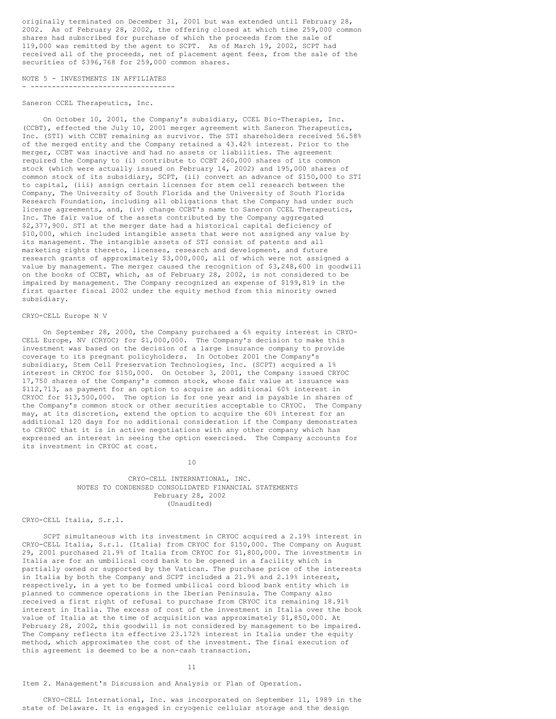originally terminated on December 31, 2001 but was extended until February 28, 2002. As of February 28, 2002, the offering closed at which time 259,000 common shares had subscribed for purchase of which the proceeds from the sale of 119,000 was remitted by the agent to SCPT. As of March 19, 2002, SCPT had received all of the proceeds, net of placement agent fees, from the sale of the securities of \$396,768 for 259,000 common shares.

NOTE 5 - INVESTMENTS IN AFFILIATES

- -----------------------------------

# Saneron CCEL Therapeutics, Inc.

On October 10, 2001, the Company's subsidiary, CCEL Bio-Therapies, Inc. (CCBT), effected the July 10, 2001 merger agreement with Saneron Therapeutics, Inc. (STI) with CCBT remaining as survivor. The STI shareholders received 56.58% of the merged entity and the Company retained a 43.42% interest. Prior to the merger, CCBT was inactive and had no assets or liabilities. The agreement required the Company to (i) contribute to CCBT 260,000 shares of its common stock (which were actually issued on February 14, 2002) and 195,000 shares of common stock of its subsidiary, SCPT, (ii) convert an advance of \$150,000 to STI to capital, (iii) assign certain licenses for stem cell research between the Company, The University of South Florida and the University of South Florida Research Foundation, including all obligations that the Company had under such license agreements, and, (iv) change CCBT's name to Saneron CCEL Therapeutics, Inc. The fair value of the assets contributed by the Company aggregated \$2,377,900. STI at the merger date had a historical capital deficiency of \$10,000, which included intangible assets that were not assigned any value by its management. The intangible assets of STI consist of patents and all marketing rights thereto, licenses, research and development, and future research grants of approximately \$3,000,000, all of which were not assigned a value by management. The merger caused the recognition of \$3,248,600 in goodwill on the books of CCBT, which, as of February 28, 2002, is not considered to be impaired by management. The Company recognized an expense of \$199,819 in the first quarter fiscal 2002 under the equity method from this minority owned subsidiary.

### CRYO-CELL Europe N V

On September 28, 2000, the Company purchased a 6% equity interest in CRYO-CELL Europe, NV (CRYOC) for \$1,000,000. The Company's decision to make this investment was based on the decision of a large insurance company to provide coverage to its pregnant policyholders. In October 2001 the Company's subsidiary, Stem Cell Preservation Technologies, Inc. (SCPT) acquired a 1% interest in CRYOC for \$150,000. On October 3, 2001, the Company issued CRYOC 17,750 shares of the Company's common stock, whose fair value at issuance was \$112,713, as payment for an option to acquire an additional 60% interest in CRYOC for \$13,500,000. The option is for one year and is payable in shares of the Company's common stock or other securities acceptable to CRYOC. The Company may, at its discretion, extend the option to acquire the 60% interest for an additional 120 days for no additional consideration if the Company demonstrates to CRYOC that it is in active negotiations with any other company which has expressed an interest in seeing the option exercised. The Company accounts for its investment in CRYOC at cost.

10

CRYO-CELL INTERNATIONAL, INC. NOTES TO CONDENSED CONSOLIDATED FINANCIAL STATEMENTS February 28, 2002 (Unaudited)

# CRYO-CELL Italia, S.r.l.

SCPT simultaneous with its investment in CRYOC acquired a 2.19% interest in CRYO-CELL Italia, S.r.l. (Italia) from CRYOC for \$150,000. The Company on August 29, 2001 purchased 21.9% of Italia from CRYOC for \$1,800,000. The investments in Italia are for an umbilical cord bank to be opened in a facility which is partially owned or supported by the Vatican. The purchase price of the interests in Italia by both the Company and SCPT included a 21.9% and 2.19% interest, respectively, in a yet to be formed umbilical cord blood bank entity which is planned to commence operations in the Iberian Peninsula. The Company also received a first right of refusal to purchase from CRYOC its remaining 18.91% interest in Italia. The excess of cost of the investment in Italia over the book value of Italia at the time of acquisition was approximately \$1,850,000. At February 28, 2002, this goodwill is not considered by management to be impaired. The Company reflects its effective 23.172% interest in Italia under the equity method, which approximates the cost of the investment. The final execution of this agreement is deemed to be a non-cash transaction.

11

Item 2. Management's Discussion and Analysis or Plan of Operation.

CRYO-CELL International, Inc. was incorporated on September 11, 1989 in the state of Delaware. It is engaged in cryogenic cellular storage and the design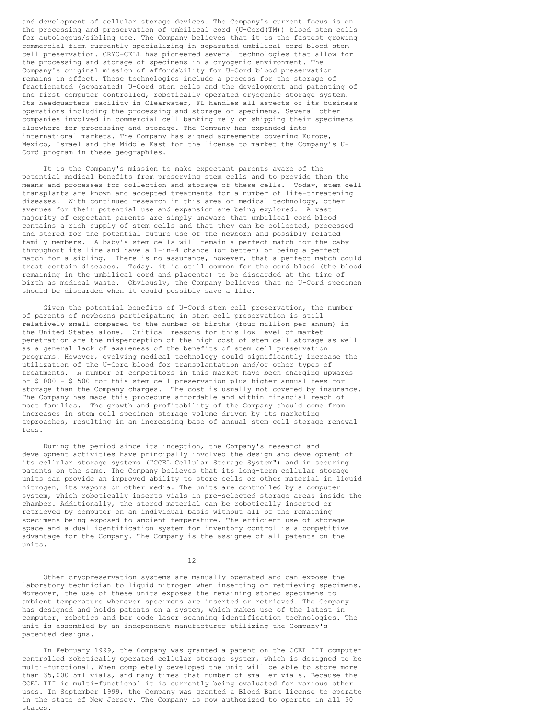and development of cellular storage devices. The Company's current focus is on the processing and preservation of umbilical cord (U-Cord(TM)) blood stem cells for autologous/sibling use. The Company believes that it is the fastest growing commercial firm currently specializing in separated umbilical cord blood stem cell preservation. CRYO-CELL has pioneered several technologies that allow for the processing and storage of specimens in a cryogenic environment. The Company's original mission of affordability for U-Cord blood preservation remains in effect. These technologies include a process for the storage of fractionated (separated) U-Cord stem cells and the development and patenting of the first computer controlled, robotically operated cryogenic storage system. Its headquarters facility in Clearwater, FL handles all aspects of its business operations including the processing and storage of specimens. Several other companies involved in commercial cell banking rely on shipping their specimens elsewhere for processing and storage. The Company has expanded into international markets. The Company has signed agreements covering Europe, Mexico, Israel and the Middle East for the license to market the Company's U-Cord program in these geographies.

It is the Company's mission to make expectant parents aware of the potential medical benefits from preserving stem cells and to provide them the means and processes for collection and storage of these cells. Today, stem cell transplants are known and accepted treatments for a number of life-threatening diseases. With continued research in this area of medical technology, other avenues for their potential use and expansion are being explored. A vast majority of expectant parents are simply unaware that umbilical cord blood contains a rich supply of stem cells and that they can be collected, processed and stored for the potential future use of the newborn and possibly related family members. A baby's stem cells will remain a perfect match for the baby throughout its life and have a 1-in-4 chance (or better) of being a perfect match for a sibling. There is no assurance, however, that a perfect match could treat certain diseases. Today, it is still common for the cord blood (the blood remaining in the umbilical cord and placenta) to be discarded at the time of birth as medical waste. Obviously, the Company believes that no U-Cord specimen should be discarded when it could possibly save a life.

Given the potential benefits of U-Cord stem cell preservation, the number of parents of newborns participating in stem cell preservation is still relatively small compared to the number of births (four million per annum) in the United States alone. Critical reasons for this low level of market penetration are the misperception of the high cost of stem cell storage as well as a general lack of awareness of the benefits of stem cell preservation programs. However, evolving medical technology could significantly increase the utilization of the U-Cord blood for transplantation and/or other types of treatments. A number of competitors in this market have been charging upwards of \$1000 - \$1500 for this stem cell preservation plus higher annual fees for storage than the Company charges. The cost is usually not covered by insurance. The Company has made this procedure affordable and within financial reach of most families. The growth and profitability of the Company should come from increases in stem cell specimen storage volume driven by its marketing approaches, resulting in an increasing base of annual stem cell storage renewal fees.

During the period since its inception, the Company's research and development activities have principally involved the design and development of its cellular storage systems ("CCEL Cellular Storage System") and in securing patents on the same. The Company believes that its long-term cellular storage units can provide an improved ability to store cells or other material in liquid nitrogen, its vapors or other media. The units are controlled by a computer system, which robotically inserts vials in pre-selected storage areas inside the chamber. Additionally, the stored material can be robotically inserted or retrieved by computer on an individual basis without all of the remaining specimens being exposed to ambient temperature. The efficient use of storage space and a dual identification system for inventory control is a competitive advantage for the Company. The Company is the assignee of all patents on the units.

12

Other cryopreservation systems are manually operated and can expose the laboratory technician to liquid nitrogen when inserting or retrieving specimens. Moreover, the use of these units exposes the remaining stored specimens to ambient temperature whenever specimens are inserted or retrieved. The Company has designed and holds patents on a system, which makes use of the latest in computer, robotics and bar code laser scanning identification technologies. The unit is assembled by an independent manufacturer utilizing the Company's patented designs.

In February 1999, the Company was granted a patent on the CCEL III computer controlled robotically operated cellular storage system, which is designed to be multi-functional. When completely developed the unit will be able to store more than 35,000 5ml vials, and many times that number of smaller vials. Because the CCEL III is multi-functional it is currently being evaluated for various other uses. In September 1999, the Company was granted a Blood Bank license to operate in the state of New Jersey. The Company is now authorized to operate in all 50 states.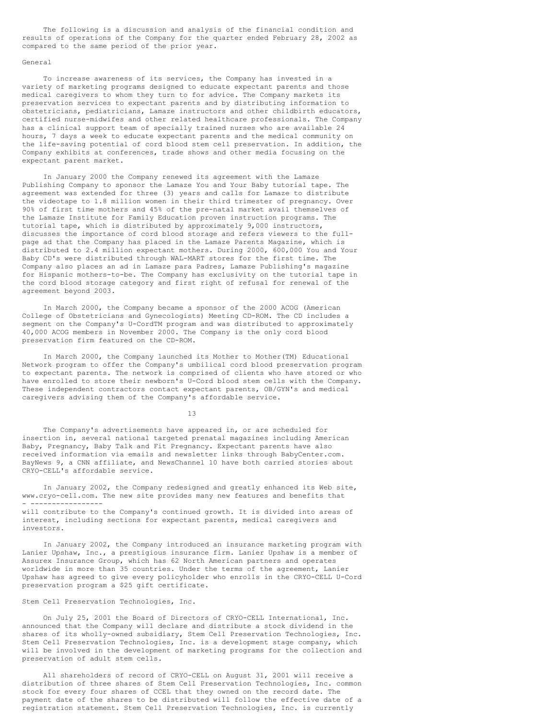The following is a discussion and analysis of the financial condition and results of operations of the Company for the quarter ended February 28, 2002 as compared to the same period of the prior year.

### General

To increase awareness of its services, the Company has invested in a variety of marketing programs designed to educate expectant parents and those medical caregivers to whom they turn to for advice. The Company markets its preservation services to expectant parents and by distributing information to obstetricians, pediatricians, Lamaze instructors and other childbirth educators, certified nurse-midwifes and other related healthcare professionals. The Company has a clinical support team of specially trained nurses who are available 24 hours, 7 days a week to educate expectant parents and the medical community on the life-saving potential of cord blood stem cell preservation. In addition, the Company exhibits at conferences, trade shows and other media focusing on the expectant parent market.

In January 2000 the Company renewed its agreement with the Lamaze Publishing Company to sponsor the Lamaze You and Your Baby tutorial tape. The agreement was extended for three (3) years and calls for Lamaze to distribute the videotape to 1.8 million women in their third trimester of pregnancy. Over 90% of first time mothers and 45% of the pre-natal market avail themselves of the Lamaze Institute for Family Education proven instruction programs. The tutorial tape, which is distributed by approximately 9,000 instructors, discusses the importance of cord blood storage and refers viewers to the fullpage ad that the Company has placed in the Lamaze Parents Magazine, which is distributed to 2.4 million expectant mothers. During 2000, 600,000 You and Your Baby CD's were distributed through WAL-MART stores for the first time. The Company also places an ad in Lamaze para Padres, Lamaze Publishing's magazine for Hispanic mothers-to-be. The Company has exclusivity on the tutorial tape in the cord blood storage category and first right of refusal for renewal of the agreement beyond 2003.

In March 2000, the Company became a sponsor of the 2000 ACOG (American College of Obstetricians and Gynecologists) Meeting CD-ROM. The CD includes a segment on the Company's U-CordTM program and was distributed to approximately 40,000 ACOG members in November 2000. The Company is the only cord blood preservation firm featured on the CD-ROM.

In March 2000, the Company launched its Mother to Mother(TM) Educational Network program to offer the Company's umbilical cord blood preservation program to expectant parents. The network is comprised of clients who have stored or who have enrolled to store their newborn's U-Cord blood stem cells with the Company. These independent contractors contact expectant parents, OB/GYN's and medical caregivers advising them of the Company's affordable service.

13

The Company's advertisements have appeared in, or are scheduled for insertion in, several national targeted prenatal magazines including American Baby, Pregnancy, Baby Talk and Fit Pregnancy. Expectant parents have also received information via emails and newsletter links through BabyCenter.com. BayNews 9, a CNN affiliate, and NewsChannel 10 have both carried stories about CRYO-CELL's affordable service.

In January 2002, the Company redesigned and greatly enhanced its Web site, www.cryo-cell.com. The new site provides many new features and benefits that - -----------------

will contribute to the Company's continued growth. It is divided into areas of interest, including sections for expectant parents, medical caregivers and investors.

In January 2002, the Company introduced an insurance marketing program with Lanier Upshaw, Inc., a prestigious insurance firm. Lanier Upshaw is a member of Assurex Insurance Group, which has 62 North American partners and operates worldwide in more than 35 countries. Under the terms of the agreement, Lanier Upshaw has agreed to give every policyholder who enrolls in the CRYO-CELL U-Cord preservation program a \$25 gift certificate.

## Stem Cell Preservation Technologies, Inc.

On July 25, 2001 the Board of Directors of CRYO-CELL International, Inc. announced that the Company will declare and distribute a stock dividend in the shares of its wholly-owned subsidiary, Stem Cell Preservation Technologies, Inc. Stem Cell Preservation Technologies, Inc. is a development stage company, which will be involved in the development of marketing programs for the collection and preservation of adult stem cells.

All shareholders of record of CRYO-CELL on August 31, 2001 will receive a distribution of three shares of Stem Cell Preservation Technologies, Inc. common stock for every four shares of CCEL that they owned on the record date. The payment date of the shares to be distributed will follow the effective date of a registration statement. Stem Cell Preservation Technologies, Inc. is currently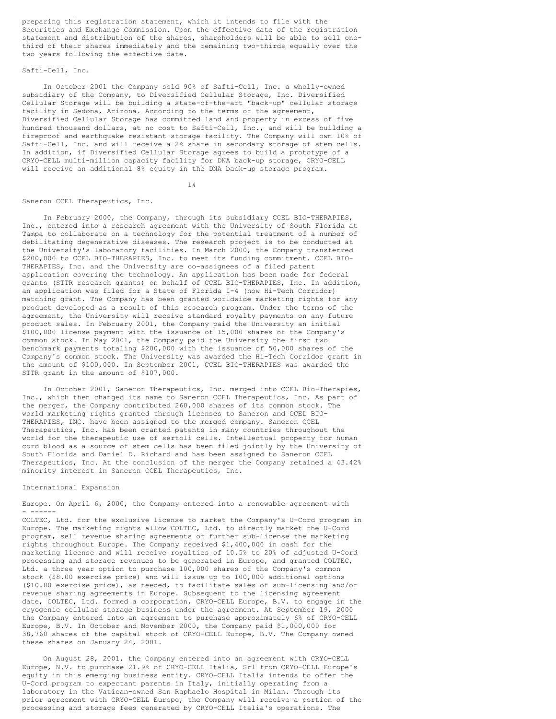preparing this registration statement, which it intends to file with the Securities and Exchange Commission. Upon the effective date of the registration statement and distribution of the shares, shareholders will be able to sell onethird of their shares immediately and the remaining two-thirds equally over the two years following the effective date.

### Safti-Cell, Inc.

In October 2001 the Company sold 90% of Safti-Cell, Inc. a wholly-owned subsidiary of the Company, to Diversified Cellular Storage, Inc. Diversified Cellular Storage will be building a state-of-the-art "back-up" cellular storage facility in Sedona, Arizona. According to the terms of the agreement, Diversified Cellular Storage has committed land and property in excess of five hundred thousand dollars, at no cost to Safti-Cell, Inc., and will be building a fireproof and earthquake resistant storage facility. The Company will own 10% of Safti-Cell, Inc. and will receive a 2% share in secondary storage of stem cells. In addition, if Diversified Cellular Storage agrees to build a prototype of a CRYO-CELL multi-million capacity facility for DNA back-up storage, CRYO-CELL will receive an additional 8% equity in the DNA back-up storage program.

14

### Saneron CCEL Therapeutics, Inc.

In February 2000, the Company, through its subsidiary CCEL BIO-THERAPIES, Inc., entered into a research agreement with the University of South Florida at Tampa to collaborate on a technology for the potential treatment of a number of debilitating degenerative diseases. The research project is to be conducted at the University's laboratory facilities. In March 2000, the Company transferred \$200,000 to CCEL BIO-THERAPIES, Inc. to meet its funding commitment. CCEL BIO-THERAPIES, Inc. and the University are co-assignees of a filed patent application covering the technology. An application has been made for federal grants (STTR research grants) on behalf of CCEL BIO-THERAPIES, Inc. In addition, an application was filed for a State of Florida I-4 (now Hi-Tech Corridor) matching grant. The Company has been granted worldwide marketing rights for any product developed as a result of this research program. Under the terms of the agreement, the University will receive standard royalty payments on any future product sales. In February 2001, the Company paid the University an initial \$100,000 license payment with the issuance of 15,000 shares of the Company's common stock. In May 2001, the Company paid the University the first two benchmark payments totaling \$200,000 with the issuance of 50,000 shares of the Company's common stock. The University was awarded the Hi-Tech Corridor grant in the amount of \$100,000. In September 2001, CCEL BIO-THERAPIES was awarded the STTR grant in the amount of \$107,000.

In October 2001, Saneron Therapeutics, Inc. merged into CCEL Bio-Therapies, Inc., which then changed its name to Saneron CCEL Therapeutics, Inc. As part of the merger, the Company contributed 260,000 shares of its common stock. The world marketing rights granted through licenses to Saneron and CCEL BIO-THERAPIES, INC. have been assigned to the merged company. Saneron CCEL Therapeutics, Inc. has been granted patents in many countries throughout the world for the therapeutic use of sertoli cells. Intellectual property for human cord blood as a source of stem cells has been filed jointly by the University of South Florida and Daniel D. Richard and has been assigned to Saneron CCEL Therapeutics, Inc. At the conclusion of the merger the Company retained a 43.42% minority interest in Saneron CCEL Therapeutics, Inc.

#### International Expansion

Europe. On April 6, 2000, the Company entered into a renewable agreement with - ------

COLTEC, Ltd. for the exclusive license to market the Company's U-Cord program in Europe. The marketing rights allow COLTEC, Ltd. to directly market the U-Cord program, sell revenue sharing agreements or further sub-license the marketing rights throughout Europe. The Company received \$1,400,000 in cash for the marketing license and will receive royalties of 10.5% to 20% of adjusted U-Cord processing and storage revenues to be generated in Europe, and granted COLTEC, Ltd. a three year option to purchase 100,000 shares of the Company's common stock (\$8.00 exercise price) and will issue up to 100,000 additional options (\$10.00 exercise price), as needed, to facilitate sales of sub-licensing and/or revenue sharing agreements in Europe. Subsequent to the licensing agreement date, COLTEC, Ltd. formed a corporation, CRYO-CELL Europe, B.V. to engage in the cryogenic cellular storage business under the agreement. At September 19, 2000 the Company entered into an agreement to purchase approximately 6% of CRYO-CELL Europe, B.V. In October and November 2000, the Company paid \$1,000,000 for 38,760 shares of the capital stock of CRYO-CELL Europe, B.V. The Company owned these shares on January 24, 2001.

On August 28, 2001, the Company entered into an agreement with CRYO-CELL Europe, N.V. to purchase 21.9% of CRYO-CELL Italia, Srl from CRYO-CELL Europe's equity in this emerging business entity. CRYO-CELL Italia intends to offer the U-Cord program to expectant parents in Italy, initially operating from a laboratory in the Vatican-owned San Raphaelo Hospital in Milan. Through its prior agreement with CRYO-CELL Europe, the Company will receive a portion of the processing and storage fees generated by CRYO-CELL Italia's operations. The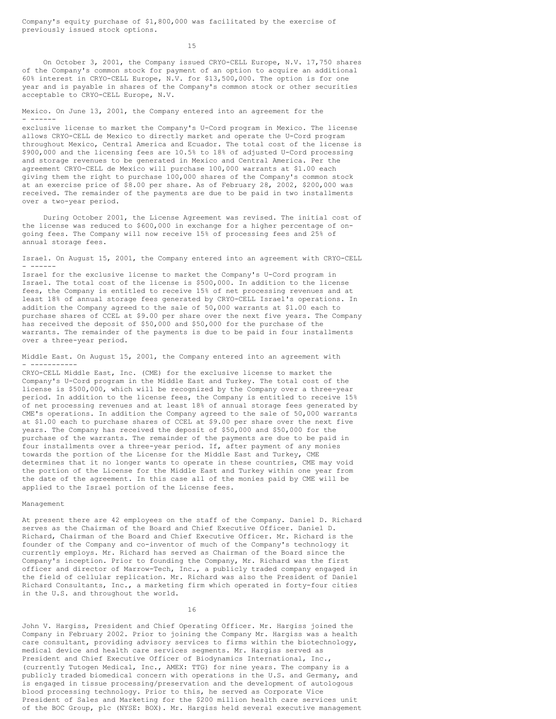Company's equity purchase of \$1,800,000 was facilitated by the exercise of previously issued stock options.

15

On October 3, 2001, the Company issued CRYO-CELL Europe, N.V. 17,750 shares of the Company's common stock for payment of an option to acquire an additional 60% interest in CRYO-CELL Europe, N.V. for \$13,500,000. The option is for one year and is payable in shares of the Company's common stock or other securities acceptable to CRYO-CELL Europe, N.V.

Mexico. On June 13, 2001, the Company entered into an agreement for the - ------

exclusive license to market the Company's U-Cord program in Mexico. The license allows CRYO-CELL de Mexico to directly market and operate the U-Cord program throughout Mexico, Central America and Ecuador. The total cost of the license is \$900,000 and the licensing fees are 10.5% to 18% of adjusted U-Cord processing and storage revenues to be generated in Mexico and Central America. Per the agreement CRYO-CELL de Mexico will purchase 100,000 warrants at \$1.00 each giving them the right to purchase 100,000 shares of the Company's common stock at an exercise price of \$8.00 per share. As of February 28, 2002, \$200,000 was received. The remainder of the payments are due to be paid in two installments over a two-year period.

During October 2001, the License Agreement was revised. The initial cost of the license was reduced to \$600,000 in exchange for a higher percentage of ongoing fees. The Company will now receive 15% of processing fees and 25% of annual storage fees.

Israel. On August 15, 2001, the Company entered into an agreement with CRYO-CELL - ------

Israel for the exclusive license to market the Company's U-Cord program in Israel. The total cost of the license is \$500,000. In addition to the license fees, the Company is entitled to receive 15% of net processing revenues and at least 18% of annual storage fees generated by CRYO-CELL Israel's operations. In addition the Company agreed to the sale of 50,000 warrants at \$1.00 each to purchase shares of CCEL at \$9.00 per share over the next five years. The Company has received the deposit of \$50,000 and \$50,000 for the purchase of the warrants. The remainder of the payments is due to be paid in four installments over a three-year period.

Middle East. On August 15, 2001, the Company entered into an agreement with - -----------

CRYO-CELL Middle East, Inc. (CME) for the exclusive license to market the Company's U-Cord program in the Middle East and Turkey. The total cost of the license is \$500,000, which will be recognized by the Company over a three-year period. In addition to the license fees, the Company is entitled to receive 15% of net processing revenues and at least 18% of annual storage fees generated by CME's operations. In addition the Company agreed to the sale of 50,000 warrants at \$1.00 each to purchase shares of CCEL at \$9.00 per share over the next five years. The Company has received the deposit of \$50,000 and \$50,000 for the purchase of the warrants. The remainder of the payments are due to be paid in four installments over a three-year period. If, after payment of any monies towards the portion of the License for the Middle East and Turkey, CME determines that it no longer wants to operate in these countries, CME may void the portion of the License for the Middle East and Turkey within one year from the date of the agreement. In this case all of the monies paid by CME will be applied to the Israel portion of the License fees.

## Management

At present there are 42 employees on the staff of the Company. Daniel D. Richard serves as the Chairman of the Board and Chief Executive Officer. Daniel D. Richard, Chairman of the Board and Chief Executive Officer. Mr. Richard is the founder of the Company and co-inventor of much of the Company's technology it currently employs. Mr. Richard has served as Chairman of the Board since the Company's inception. Prior to founding the Company, Mr. Richard was the first officer and director of Marrow-Tech, Inc., a publicly traded company engaged in the field of cellular replication. Mr. Richard was also the President of Daniel Richard Consultants, Inc., a marketing firm which operated in forty-four cities in the U.S. and throughout the world.

16

John V. Hargiss, President and Chief Operating Officer. Mr. Hargiss joined the Company in February 2002. Prior to joining the Company Mr. Hargiss was a health care consultant, providing advisory services to firms within the biotechnology, medical device and health care services segments. Mr. Hargiss served as President and Chief Executive Officer of Biodynamics International, Inc., (currently Tutogen Medical, Inc., AMEX: TTG) for nine years. The company is a publicly traded biomedical concern with operations in the U.S. and Germany, and is engaged in tissue processing/preservation and the development of autologous blood processing technology. Prior to this, he served as Corporate Vice President of Sales and Marketing for the \$200 million health care services unit of the BOC Group, plc (NYSE: BOX). Mr. Hargiss held several executive management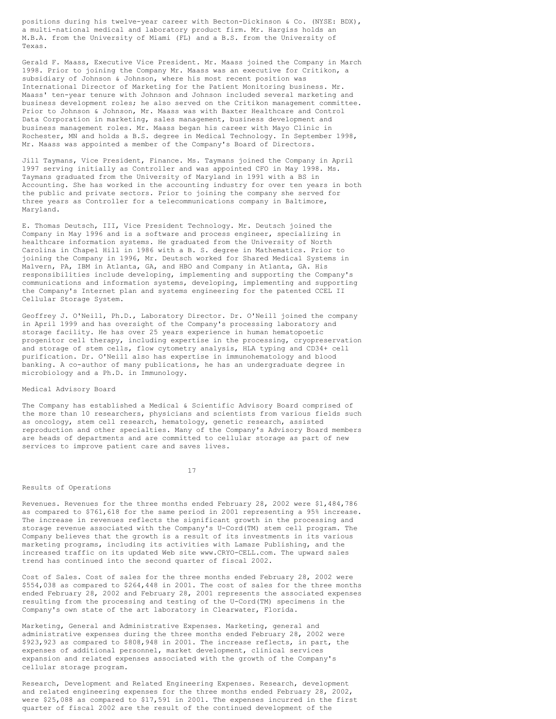positions during his twelve-year career with Becton-Dickinson & Co. (NYSE: BDX), a multi-national medical and laboratory product firm. Mr. Hargiss holds an M.B.A. from the University of Miami (FL) and a B.S. from the University of Texas.

Gerald F. Maass, Executive Vice President. Mr. Maass joined the Company in March 1998. Prior to joining the Company Mr. Maass was an executive for Critikon, a subsidiary of Johnson & Johnson, where his most recent position was International Director of Marketing for the Patient Monitoring business. Mr. Maass' ten-year tenure with Johnson and Johnson included several marketing and business development roles; he also served on the Critikon management committee. Prior to Johnson & Johnson, Mr. Maass was with Baxter Healthcare and Control Data Corporation in marketing, sales management, business development and business management roles. Mr. Maass began his career with Mayo Clinic in Rochester, MN and holds a B.S. degree in Medical Technology. In September 1998, Mr. Maass was appointed a member of the Company's Board of Directors.

Jill Taymans, Vice President, Finance. Ms. Taymans joined the Company in April 1997 serving initially as Controller and was appointed CFO in May 1998. Ms. Taymans graduated from the University of Maryland in 1991 with a BS in Accounting. She has worked in the accounting industry for over ten years in both the public and private sectors. Prior to joining the company she served for three years as Controller for a telecommunications company in Baltimore, Maryland.

E. Thomas Deutsch, III, Vice President Technology. Mr. Deutsch joined the Company in May 1996 and is a software and process engineer, specializing in healthcare information systems. He graduated from the University of North Carolina in Chapel Hill in 1986 with a B. S. degree in Mathematics. Prior to joining the Company in 1996, Mr. Deutsch worked for Shared Medical Systems in Malvern, PA, IBM in Atlanta, GA, and HBO and Company in Atlanta, GA. His responsibilities include developing, implementing and supporting the Company's communications and information systems, developing, implementing and supporting the Company's Internet plan and systems engineering for the patented CCEL II Cellular Storage System.

Geoffrey J. O'Neill, Ph.D., Laboratory Director. Dr. O'Neill joined the company in April 1999 and has oversight of the Company's processing laboratory and storage facility. He has over 25 years experience in human hematopoetic progenitor cell therapy, including expertise in the processing, cryopreservation and storage of stem cells, flow cytometry analysis, HLA typing and CD34+ cell purification. Dr. O'Neill also has expertise in immunohematology and blood banking. A co-author of many publications, he has an undergraduate degree in microbiology and a Ph.D. in Immunology.

# Medical Advisory Board

The Company has established a Medical & Scientific Advisory Board comprised of the more than 10 researchers, physicians and scientists from various fields such as oncology, stem cell research, hematology, genetic research, assisted reproduction and other specialties. Many of the Company's Advisory Board members are heads of departments and are committed to cellular storage as part of new services to improve patient care and saves lives.

17

#### Results of Operations

Revenues. Revenues for the three months ended February 28, 2002 were \$1,484,786 as compared to \$761,618 for the same period in 2001 representing a 95% increase. The increase in revenues reflects the significant growth in the processing and storage revenue associated with the Company's U-Cord(TM) stem cell program. The Company believes that the growth is a result of its investments in its various marketing programs, including its activities with Lamaze Publishing, and the increased traffic on its updated Web site www.CRYO-CELL.com. The upward sales trend has continued into the second quarter of fiscal 2002.

Cost of Sales. Cost of sales for the three months ended February 28, 2002 were \$554,038 as compared to \$264,448 in 2001. The cost of sales for the three months ended February 28, 2002 and February 28, 2001 represents the associated expenses resulting from the processing and testing of the U-Cord(TM) specimens in the Company's own state of the art laboratory in Clearwater, Florida.

Marketing, General and Administrative Expenses. Marketing, general and administrative expenses during the three months ended February 28, 2002 were \$923,923 as compared to \$808,948 in 2001. The increase reflects, in part, the expenses of additional personnel, market development, clinical services expansion and related expenses associated with the growth of the Company's cellular storage program.

Research, Development and Related Engineering Expenses. Research, development and related engineering expenses for the three months ended February 28, 2002, were \$25,088 as compared to \$17,591 in 2001. The expenses incurred in the first quarter of fiscal 2002 are the result of the continued development of the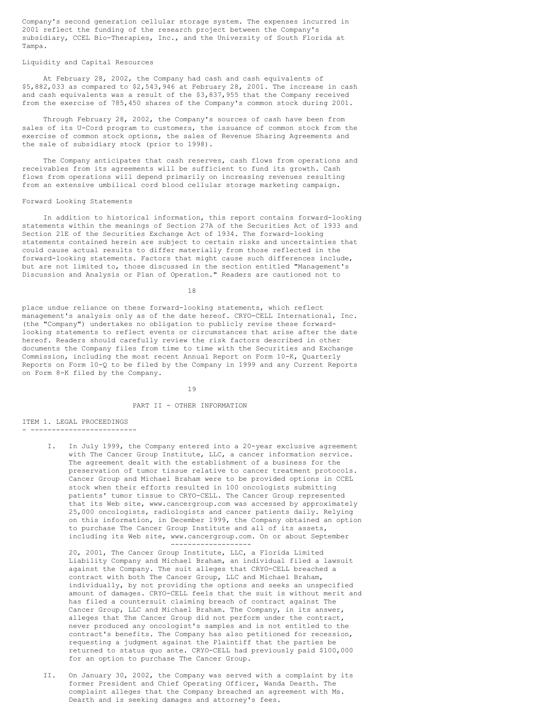Company's second generation cellular storage system. The expenses incurred in 2001 reflect the funding of the research project between the Company's subsidiary, CCEL Bio-Therapies, Inc., and the University of South Florida at Tampa.

# Liquidity and Capital Resources

At February 28, 2002, the Company had cash and cash equivalents of \$5,882,033 as compared to \$2,543,946 at February 28, 2001. The increase in cash and cash equivalents was a result of the \$3,837,955 that the Company received from the exercise of 785,450 shares of the Company's common stock during 2001.

Through February 28, 2002, the Company's sources of cash have been from sales of its U-Cord program to customers, the issuance of common stock from the exercise of common stock options, the sales of Revenue Sharing Agreements and the sale of subsidiary stock (prior to 1998).

The Company anticipates that cash reserves, cash flows from operations and receivables from its agreements will be sufficient to fund its growth. Cash flows from operations will depend primarily on increasing revenues resulting from an extensive umbilical cord blood cellular storage marketing campaign.

#### Forward Looking Statements

In addition to historical information, this report contains forward-looking statements within the meanings of Section 27A of the Securities Act of 1933 and Section 21E of the Securities Exchange Act of 1934. The forward-looking statements contained herein are subject to certain risks and uncertainties that could cause actual results to differ materially from those reflected in the forward-looking statements. Factors that might cause such differences include, but are not limited to, those discussed in the section entitled "Management's Discussion and Analysis or Plan of Operation." Readers are cautioned not to

18

place undue reliance on these forward-looking statements, which reflect management's analysis only as of the date hereof. CRYO-CELL International, Inc. (the "Company") undertakes no obligation to publicly revise these forwardlooking statements to reflect events or circumstances that arise after the date hereof. Readers should carefully review the risk factors described in other documents the Company files from time to time with the Securities and Exchange Commission, including the most recent Annual Report on Form 10-K, Quarterly Reports on Form 10-Q to be filed by the Company in 1999 and any Current Reports on Form 8-K filed by the Company.

19

# PART II - OTHER INFORMATION

ITEM 1. LEGAL PROCEEDINGS - -------------------------

> I. In July 1999, the Company entered into a 20-year exclusive agreement with The Cancer Group Institute, LLC, a cancer information service. The agreement dealt with the establishment of a business for the preservation of tumor tissue relative to cancer treatment protocols. Cancer Group and Michael Braham were to be provided options in CCEL stock when their efforts resulted in 100 oncologists submitting patients' tumor tissue to CRYO-CELL. The Cancer Group represented that its Web site, www.cancergroup.com was accessed by approximately 25,000 oncologists, radiologists and cancer patients daily. Relying on this information, in December 1999, the Company obtained an option to purchase The Cancer Group Institute and all of its assets, including its Web site, www.cancergroup.com. On or about September -------------------

20, 2001, The Cancer Group Institute, LLC, a Florida Limited Liability Company and Michael Braham, an individual filed a lawsuit against the Company. The suit alleges that CRYO-CELL breached a contract with both The Cancer Group, LLC and Michael Braham, individually, by not providing the options and seeks an unspecified amount of damages. CRYO-CELL feels that the suit is without merit and has filed a countersuit claiming breach of contract against The Cancer Group, LLC and Michael Braham. The Company, in its answer, alleges that The Cancer Group did not perform under the contract, never produced any oncologist's samples and is not entitled to the contract's benefits. The Company has also petitioned for recession, requesting a judgment against the Plaintiff that the parties be returned to status quo ante. CRYO-CELL had previously paid \$100,000 for an option to purchase The Cancer Group.

II. On January 30, 2002, the Company was served with a complaint by its former President and Chief Operating Officer, Wanda Dearth. The complaint alleges that the Company breached an agreement with Ms. Dearth and is seeking damages and attorney's fees.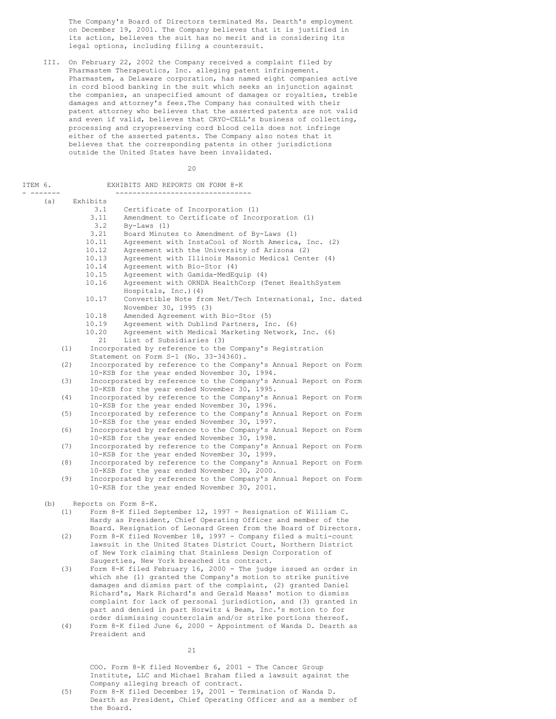The Company's Board of Directors terminated Ms. Dearth's employment on December 19, 2001. The Company believes that it is justified in its action, believes the suit has no merit and is considering its legal options, including filing a countersuit.

III. On February 22, 2002 the Company received a complaint filed by Pharmastem Therapeutics, Inc. alleging patent infringement. Pharmastem, a Delaware corporation, has named eight companies active in cord blood banking in the suit which seeks an injunction against the companies, an unspecified amount of damages or royalties, treble damages and attorney's fees.The Company has consulted with their patent attorney who believes that the asserted patents are not valid and even if valid, believes that CRYO-CELL's business of collecting, processing and cryopreserving cord blood cells does not infringe either of the asserted patents. The Company also notes that it believes that the corresponding patents in other jurisdictions outside the United States have been invalidated.

20

| ITEM 6. |                |          | EXHIBITS AND REPORTS ON FORM 8-K                                                                                 |
|---------|----------------|----------|------------------------------------------------------------------------------------------------------------------|
|         | -------<br>(a) | Exhibits |                                                                                                                  |
|         |                |          | 3.1<br>Certificate of Incorporation (1)                                                                          |
|         |                |          | 3.11<br>Amendment to Certificate of Incorporation (1)                                                            |
|         |                |          | 3.2<br>$By-Laws (1)$                                                                                             |
|         |                |          | 3.21<br>Board Minutes to Amendment of By-Laws (1)                                                                |
|         |                |          | 10.11<br>Agreement with InstaCool of North America, Inc. (2)                                                     |
|         |                | 10.12    | Agreement with the University of Arizona (2)                                                                     |
|         |                |          | 10.13<br>Agreement with Illinois Masonic Medical Center (4)                                                      |
|         |                |          | 10.14<br>Agreement with Bio-Stor (4)                                                                             |
|         |                |          | 10.15<br>Agreement with Gamida-MedEquip (4)                                                                      |
|         |                |          | Agreement with ORNDA HealthCorp (Tenet HealthSystem<br>10.16<br>Hospitals, Inc.) (4)                             |
|         |                | 10.17    | Convertible Note from Net/Tech International, Inc. dated<br>November 30, 1995 (3)                                |
|         |                |          | Amended Agreement with Bio-Stor (5)<br>10.18                                                                     |
|         |                |          | 10.19<br>Agreement with Dublind Partners, Inc. (6)                                                               |
|         |                |          | 10.20<br>Agreement with Medical Marketing Network, Inc. (6)                                                      |
|         |                |          | 21<br>List of Subsidiaries (3)                                                                                   |
|         |                | (1)      | Incorporated by reference to the Company's Registration                                                          |
|         |                |          | Statement on Form S-1 (No. 33-34360).                                                                            |
|         |                | (2)      | Incorporated by reference to the Company's Annual Report on Form                                                 |
|         |                |          | 10-KSB for the year ended November 30, 1994.                                                                     |
|         |                | (3)      | Incorporated by reference to the Company's Annual Report on Form<br>10-KSB for the year ended November 30, 1995. |
|         |                | (4)      | Incorporated by reference to the Company's Annual Report on Form<br>10-KSB for the year ended November 30, 1996. |
|         |                | (5)      | Incorporated by reference to the Company's Annual Report on Form<br>10-KSB for the year ended November 30, 1997. |
|         |                | (6)      | Incorporated by reference to the Company's Annual Report on Form<br>10-KSB for the year ended November 30, 1998. |
|         |                | (7)      | Incorporated by reference to the Company's Annual Report on Form<br>10-KSB for the year ended November 30, 1999. |
|         |                | (8)      | Incorporated by reference to the Company's Annual Report on Form<br>10-KSB for the year ended November 30, 2000. |
|         |                | (9)      | Incorporated by reference to the Company's Annual Report on Form                                                 |
|         |                |          | 10-KSB for the year ended November 30, 2001.                                                                     |
|         | (b)            |          | Reports on Form 8-K.                                                                                             |
|         |                | (1)      | Form 8-K filed September 12, 1997 - Resignation of William C.                                                    |
|         |                |          | Hardy as President, Chief Operating Officer and member of the                                                    |
|         |                |          | Board. Resignation of Leonard Green from the Board of Directors.                                                 |
|         |                | (2)      | Form 8-K filed November 18, 1997 - Company filed a multi-count                                                   |
|         |                |          | lawsuit in the United States District Court, Northern District                                                   |
|         |                |          | of New York claiming that Stainless Design Corporation of                                                        |
|         |                |          | Saugerties, New York breached its contract.                                                                      |
|         |                | (3)      | Form 8-K filed February 16, 2000 - The judge issued an order in                                                  |
|         |                |          | which she (1) granted the Company's motion to strike punitive                                                    |
|         |                |          | damages and dismiss part of the complaint, (2) granted Daniel                                                    |
|         |                |          | Richard's, Mark Richard's and Gerald Maass' motion to dismiss                                                    |
|         |                |          | complaint for lack of personal jurisdiction, and (3) granted in                                                  |
|         |                |          | part and denied in part Horwitz & Beam, Inc.'s motion to for                                                     |
|         |                |          | order dismissing counterclaim and/or strike portions thereof.                                                    |
|         |                | (4)      | Form 8-K filed June 6, 2000 - Appointment of Wanda D. Dearth as                                                  |

COO. Form 8-K filed November 6, 2001 - The Cancer Group Institute, LLC and Michael Braham filed a lawsuit against the Company alleging breach of contract.

(5) Form 8-K filed December 19, 2001 - Termination of Wanda D. Dearth as President, Chief Operating Officer and as a member of the Board.

21

President and